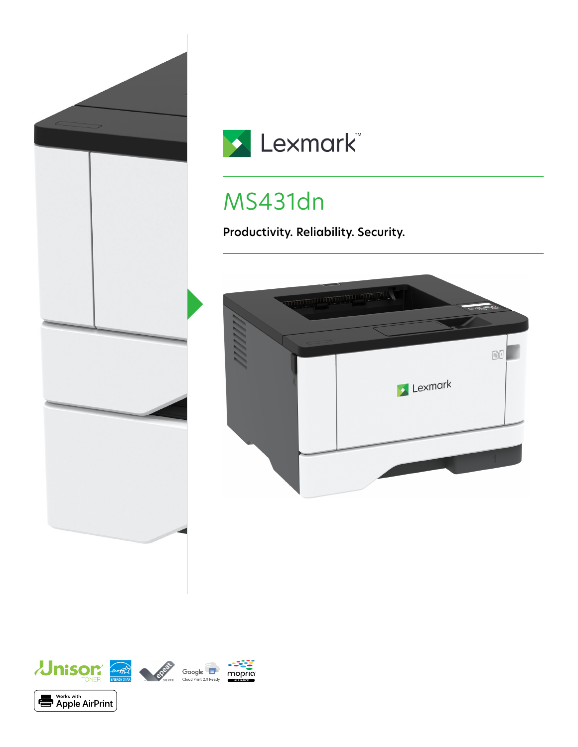



# MS431dn

**Productivity. Reliability. Security.**



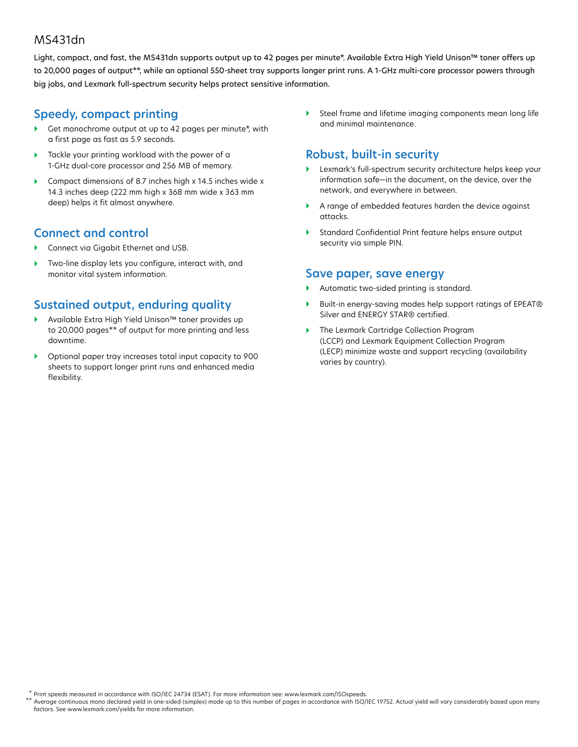#### MS431dn

Light, compact, and fast, the MS431dn supports output up to 42 pages per minute\*. Available Extra High Yield Unison™ toner offers up to 20,000 pages of output\*\*, while an optional 550-sheet tray supports longer print runs. A 1-GHz multi-core processor powers through big jobs, and Lexmark full-spectrum security helps protect sensitive information.

### **Speedy, compact printing**

- Get monochrome output at up to 42 pages per minute\*, with a first page as fast as 5.9 seconds.
- Tackle your printing workload with the power of a 1-GHz dual-core processor and 256 MB of memory.
- Compact dimensions of 8.7 inches high x 14.5 inches wide x 14.3 inches deep (222 mm high x 368 mm wide x 363 mm deep) helps it fit almost anywhere.

### **Connect and control**

- Connect via Gigabit Ethernet and USB.
- ▶ Two-line display lets you configure, interact with, and monitor vital system information.

# **Sustained output, enduring quality**

- Available Extra High Yield Unison™ toner provides up to 20,000 pages\*\* of output for more printing and less downtime.
- Optional paper tray increases total input capacity to 900 sheets to support longer print runs and enhanced media flexibility.

 Steel frame and lifetime imaging components mean long life and minimal maintenance.

# **Robust, built-in security**

- Lexmark's full-spectrum security architecture helps keep your information safe—in the document, on the device, over the network, and everywhere in between.
- A range of embedded features harden the device against attacks.
- Standard Confidential Print feature helps ensure output security via simple PIN.

#### **Save paper, save energy**

- Automatic two-sided printing is standard.
- ▶ Built-in energy-saving modes help support ratings of EPEAT<sup>®</sup> Silver and ENERGY STAR® certified.
- ▶ The Lexmark Cartridge Collection Program (LCCP) and Lexmark Equipment Collection Program (LECP) minimize waste and support recycling (availability varies by country).

Print speeds measured in accordance with ISO/IEC 24734 (ESAT). For more information see: www.lexmark.com/ISOspeeds. \* \*\*

Average continuous mono declared yield in one-sided (simplex) mode up to this number of pages in accordance with ISO/IEC 19752. Actual yield will vary considerably based upon many factors. See www.lexmark.com/yields for more information.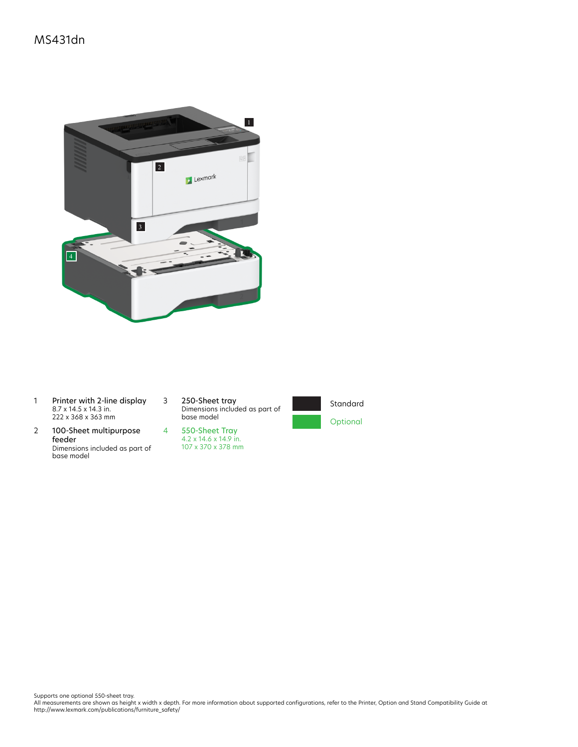## MS431dn



- 1 Printer with 2-line display 8.7 x 14.5 x 14.3 in. 222 x 368 x 363 mm
- 2 100-Sheet multipurpose feeder Dimensions included as part of base model

3 250-Sheet tray Dimensions included as part of base model





Supports one optional 550-sheet tray.<br>All measurements are shown as height x width x depth. For more information about supported configurations, refer to the Printer, Option and Stand Compatibility Guide at<br>http://www.lexm